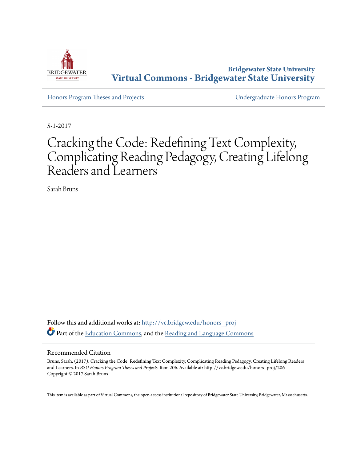

**Bridgewater State University [Virtual Commons - Bridgewater State University](http://vc.bridgew.edu?utm_source=vc.bridgew.edu%2Fhonors_proj%2F206&utm_medium=PDF&utm_campaign=PDFCoverPages)**

[Honors Program Theses and Projects](http://vc.bridgew.edu/honors_proj?utm_source=vc.bridgew.edu%2Fhonors_proj%2F206&utm_medium=PDF&utm_campaign=PDFCoverPages) [Undergraduate Honors Program](http://vc.bridgew.edu/honors?utm_source=vc.bridgew.edu%2Fhonors_proj%2F206&utm_medium=PDF&utm_campaign=PDFCoverPages)

5-1-2017

# Cracking the Code: Redefining Text Complexity, Complicating Reading Pedagogy, Creating Lifelong Readers and Learners

Sarah Bruns

Follow this and additional works at: [http://vc.bridgew.edu/honors\\_proj](http://vc.bridgew.edu/honors_proj?utm_source=vc.bridgew.edu%2Fhonors_proj%2F206&utm_medium=PDF&utm_campaign=PDFCoverPages) Part of the [Education Commons](http://network.bepress.com/hgg/discipline/784?utm_source=vc.bridgew.edu%2Fhonors_proj%2F206&utm_medium=PDF&utm_campaign=PDFCoverPages), and the [Reading and Language Commons](http://network.bepress.com/hgg/discipline/1037?utm_source=vc.bridgew.edu%2Fhonors_proj%2F206&utm_medium=PDF&utm_campaign=PDFCoverPages)

### Recommended Citation

Bruns, Sarah. (2017). Cracking the Code: Redefining Text Complexity, Complicating Reading Pedagogy, Creating Lifelong Readers and Learners. In *BSU Honors Program Theses and Projects.* Item 206. Available at: http://vc.bridgew.edu/honors\_proj/206 Copyright © 2017 Sarah Bruns

This item is available as part of Virtual Commons, the open-access institutional repository of Bridgewater State University, Bridgewater, Massachusetts.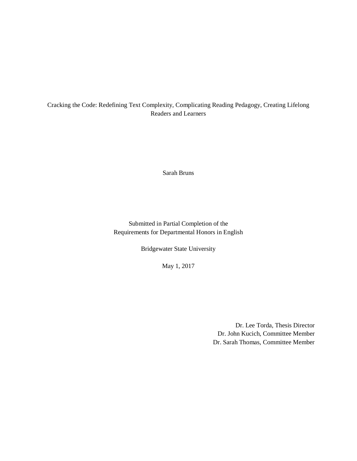# Cracking the Code: Redefining Text Complexity, Complicating Reading Pedagogy, Creating Lifelong Readers and Learners

Sarah Bruns

Submitted in Partial Completion of the Requirements for Departmental Honors in English

Bridgewater State University

May 1, 2017

Dr. Lee Torda, Thesis Director Dr. John Kucich, Committee Member Dr. Sarah Thomas, Committee Member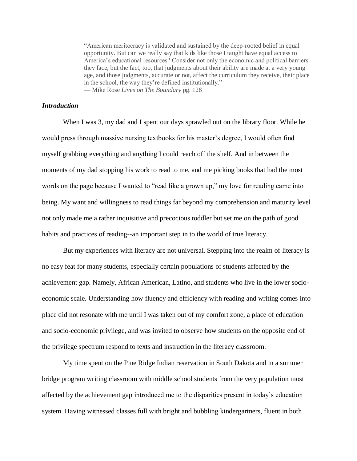"American meritocracy is validated and sustained by the deep-rooted belief in equal opportunity. But can we really say that kids like those I taught have equal access to America's educational resources? Consider not only the economic and political barriers they face, but the fact, too, that judgments about their ability are made at a very young age, and those judgments, accurate or not, affect the curriculum they receive, their place in the school, the way they're defined institutionally." — Mike Rose *Lives on The Boundary* pg. 128

# *Introduction*

When I was 3, my dad and I spent our days sprawled out on the library floor. While he would press through massive nursing textbooks for his master's degree, I would often find myself grabbing everything and anything I could reach off the shelf. And in between the moments of my dad stopping his work to read to me, and me picking books that had the most words on the page because I wanted to "read like a grown up," my love for reading came into being. My want and willingness to read things far beyond my comprehension and maturity level not only made me a rather inquisitive and precocious toddler but set me on the path of good habits and practices of reading--an important step in to the world of true literacy.

But my experiences with literacy are not universal. Stepping into the realm of literacy is no easy feat for many students, especially certain populations of students affected by the achievement gap. Namely, African American, Latino, and students who live in the lower socioeconomic scale. Understanding how fluency and efficiency with reading and writing comes into place did not resonate with me until I was taken out of my comfort zone, a place of education and socio-economic privilege, and was invited to observe how students on the opposite end of the privilege spectrum respond to texts and instruction in the literacy classroom.

My time spent on the Pine Ridge Indian reservation in South Dakota and in a summer bridge program writing classroom with middle school students from the very population most affected by the achievement gap introduced me to the disparities present in today's education system. Having witnessed classes full with bright and bubbling kindergartners, fluent in both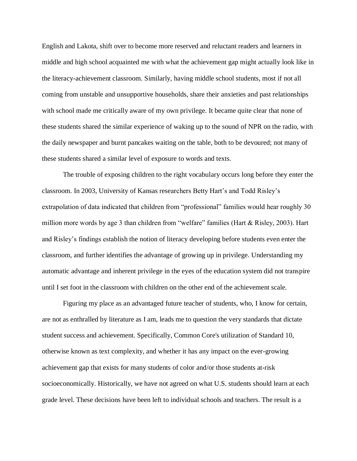English and Lakota, shift over to become more reserved and reluctant readers and learners in middle and high school acquainted me with what the achievement gap might actually look like in the literacy-achievement classroom. Similarly, having middle school students, most if not all coming from unstable and unsupportive households, share their anxieties and past relationships with school made me critically aware of my own privilege. It became quite clear that none of these students shared the similar experience of waking up to the sound of NPR on the radio, with the daily newspaper and burnt pancakes waiting on the table, both to be devoured; not many of these students shared a similar level of exposure to words and texts.

The trouble of exposing children to the right vocabulary occurs long before they enter the classroom. In 2003, University of Kansas researchers Betty Hart's and Todd Risley's extrapolation of data indicated that children from "professional" families would hear roughly 30 million more words by age 3 than children from "welfare" families (Hart & Risley, 2003). Hart and Risley's findings establish the notion of literacy developing before students even enter the classroom, and further identifies the advantage of growing up in privilege. Understanding my automatic advantage and inherent privilege in the eyes of the education system did not transpire until I set foot in the classroom with children on the other end of the achievement scale.

Figuring my place as an advantaged future teacher of students, who, I know for certain, are not as enthralled by literature as I am, leads me to question the very standards that dictate student success and achievement. Specifically, Common Core's utilization of Standard 10, otherwise known as text complexity, and whether it has any impact on the ever-growing achievement gap that exists for many students of color and/or those students at-risk socioeconomically. Historically, we have not agreed on what U.S. students should learn at each grade level. These decisions have been left to individual schools and teachers. The result is a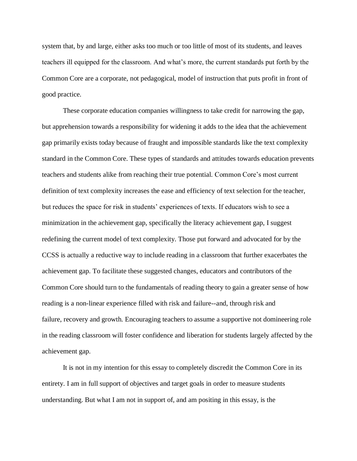system that, by and large, either asks too much or too little of most of its students, and leaves teachers ill equipped for the classroom. And what's more, the current standards put forth by the Common Core are a corporate, not pedagogical, model of instruction that puts profit in front of good practice.

These corporate education companies willingness to take credit for narrowing the gap, but apprehension towards a responsibility for widening it adds to the idea that the achievement gap primarily exists today because of fraught and impossible standards like the text complexity standard in the Common Core. These types of standards and attitudes towards education prevents teachers and students alike from reaching their true potential. Common Core's most current definition of text complexity increases the ease and efficiency of text selection for the teacher, but reduces the space for risk in students' experiences of texts. If educators wish to see a minimization in the achievement gap, specifically the literacy achievement gap, I suggest redefining the current model of text complexity. Those put forward and advocated for by the CCSS is actually a reductive way to include reading in a classroom that further exacerbates the achievement gap. To facilitate these suggested changes, educators and contributors of the Common Core should turn to the fundamentals of reading theory to gain a greater sense of how reading is a non-linear experience filled with risk and failure--and, through risk and failure, recovery and growth. Encouraging teachers to assume a supportive not domineering role in the reading classroom will foster confidence and liberation for students largely affected by the achievement gap.

It is not in my intention for this essay to completely discredit the Common Core in its entirety. I am in full support of objectives and target goals in order to measure students understanding. But what I am not in support of, and am positing in this essay, is the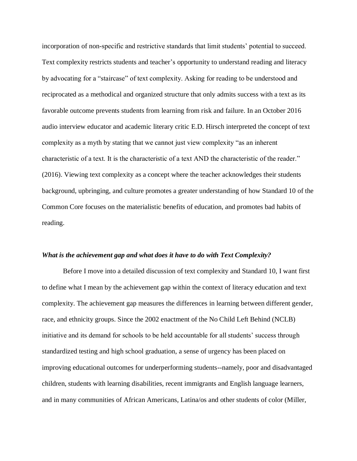incorporation of non-specific and restrictive standards that limit students' potential to succeed. Text complexity restricts students and teacher's opportunity to understand reading and literacy by advocating for a "staircase" of text complexity. Asking for reading to be understood and reciprocated as a methodical and organized structure that only admits success with a text as its favorable outcome prevents students from learning from risk and failure. In an October 2016 audio interview educator and academic literary critic E.D. Hirsch interpreted the concept of text complexity as a myth by stating that we cannot just view complexity "as an inherent characteristic of a text. It is the characteristic of a text AND the characteristic of the reader." (2016). Viewing text complexity as a concept where the teacher acknowledges their students background, upbringing, and culture promotes a greater understanding of how Standard 10 of the Common Core focuses on the materialistic benefits of education, and promotes bad habits of reading.

#### *What is the achievement gap and what does it have to do with Text Complexity?*

Before I move into a detailed discussion of text complexity and Standard 10, I want first to define what I mean by the achievement gap within the context of literacy education and text complexity. The achievement gap measures the differences in learning between different gender, race, and ethnicity groups. Since the 2002 enactment of the No Child Left Behind (NCLB) initiative and its demand for schools to be held accountable for all students' success through standardized testing and high school graduation, a sense of urgency has been placed on improving educational outcomes for underperforming students--namely, poor and disadvantaged children, students with learning disabilities, recent immigrants and English language learners, and in many communities of African Americans, Latina/os and other students of color (Miller,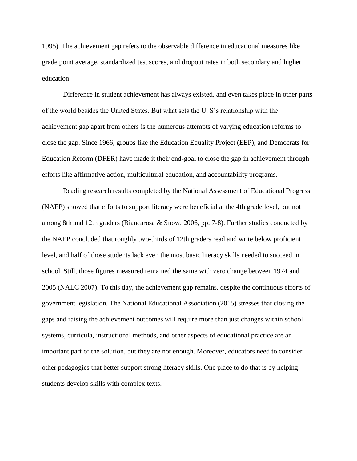1995). The achievement gap refers to the observable difference in educational measures like grade point average, standardized test scores, and dropout rates in both secondary and higher education.

Difference in student achievement has always existed, and even takes place in other parts of the world besides the United States. But what sets the U. S's relationship with the achievement gap apart from others is the numerous attempts of varying education reforms to close the gap. Since 1966, groups like the Education Equality Project (EEP), and Democrats for Education Reform (DFER) have made it their end-goal to close the gap in achievement through efforts like affirmative action, multicultural education, and accountability programs.

Reading research results completed by the National Assessment of Educational Progress (NAEP) showed that efforts to support literacy were beneficial at the 4th grade level, but not among 8th and 12th graders (Biancarosa & Snow. 2006, pp. 7-8). Further studies conducted by the NAEP concluded that roughly two-thirds of 12th graders read and write below proficient level, and half of those students lack even the most basic literacy skills needed to succeed in school. Still, those figures measured remained the same with zero change between 1974 and 2005 (NALC 2007). To this day, the achievement gap remains, despite the continuous efforts of government legislation. The National Educational Association (2015) stresses that closing the gaps and raising the achievement outcomes will require more than just changes within school systems, curricula, instructional methods, and other aspects of educational practice are an important part of the solution, but they are not enough. Moreover, educators need to consider other pedagogies that better support strong literacy skills. One place to do that is by helping students develop skills with complex texts.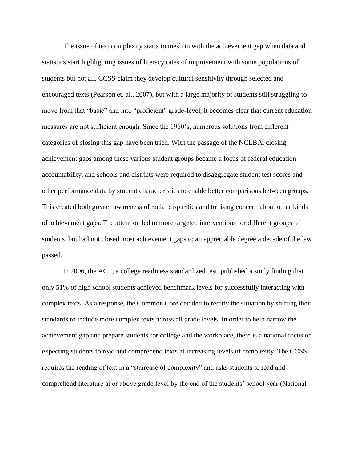The issue of text complexity starts to mesh in with the achievement gap when data and statistics start highlighting issues of literacy rates of improvement with some populations of students but not all. CCSS claim they develop cultural sensitivity through selected and encouraged texts (Pearson et. al., 2007), but with a large majority of students still struggling to move from that "basic" and into "proficient" grade-level, it becomes clear that current education measures are not sufficient enough. Since the 1960's, numerous solutions from different categories of closing this gap have been tried. With the passage of the NCLBA, closing achievement gaps among these various student groups became a focus of federal education accountability, and schools and districts were required to disaggregate student test scores and other performance data by student characteristics to enable better comparisons between groups. This created both greater awareness of racial disparities and to rising concern about other kinds of achievement gaps. The attention led to more targeted interventions for different groups of students, but had not closed most achievement gaps to an appreciable degree a decade of the law passed.

In 2006, the ACT, a college readiness standardized test, published a study finding that only 51% of high school students achieved benchmark levels for successfully interacting with complex texts. As a response, the Common Core decided to rectify the situation by shifting their standards to include more complex texts across all grade levels. In order to help narrow the achievement gap and prepare students for college and the workplace, there is a national focus on expecting students to read and comprehend texts at increasing levels of complexity. The CCSS requires the reading of text in a "staircase of complexity" and asks students to read and comprehend literature at or above grade level by the end of the students' school year (National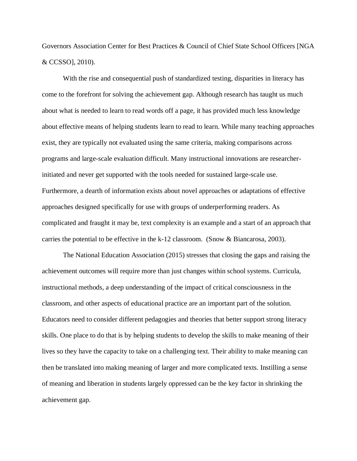Governors Association Center for Best Practices & Council of Chief State School Officers [NGA & CCSSO], 2010).

With the rise and consequential push of standardized testing, disparities in literacy has come to the forefront for solving the achievement gap. Although research has taught us much about what is needed to learn to read words off a page, it has provided much less knowledge about effective means of helping students learn to read to learn. While many teaching approaches exist, they are typically not evaluated using the same criteria, making comparisons across programs and large-scale evaluation difficult. Many instructional innovations are researcherinitiated and never get supported with the tools needed for sustained large-scale use. Furthermore, a dearth of information exists about novel approaches or adaptations of effective approaches designed specifically for use with groups of underperforming readers. As complicated and fraught it may be, text complexity is an example and a start of an approach that carries the potential to be effective in the k-12 classroom. (Snow & Biancarosa, 2003).

The National Education Association (2015) stresses that closing the gaps and raising the achievement outcomes will require more than just changes within school systems. Curricula, instructional methods, a deep understanding of the impact of critical consciousness in the classroom, and other aspects of educational practice are an important part of the solution. Educators need to consider different pedagogies and theories that better support strong literacy skills. One place to do that is by helping students to develop the skills to make meaning of their lives so they have the capacity to take on a challenging text. Their ability to make meaning can then be translated into making meaning of larger and more complicated texts. Instilling a sense of meaning and liberation in students largely oppressed can be the key factor in shrinking the achievement gap.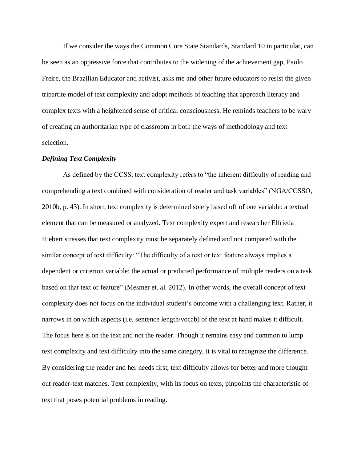If we consider the ways the Common Core State Standards, Standard 10 in particular, can be seen as an oppressive force that contributes to the widening of the achievement gap, Paolo Freire, the Brazilian Educator and activist, asks me and other future educators to resist the given tripartite model of text complexity and adopt methods of teaching that approach literacy and complex texts with a heightened sense of critical consciousness. He reminds teachers to be wary of creating an authoritarian type of classroom in both the ways of methodology and text selection.

# *Defining Text Complexity*

As defined by the CCSS, text complexity refers to "the inherent difficulty of reading and comprehending a text combined with consideration of reader and task variables" (NGA/CCSSO, 2010b, p. 43). In short, text complexity is determined solely based off of one variable: a textual element that can be measured or analyzed. Text complexity expert and researcher Elfrieda Hiebert stresses that text complexity must be separately defined and not compared with the similar concept of text difficulty: "The difficulty of a text or text feature always implies a dependent or criterion variable: the actual or predicted performance of multiple readers on a task based on that text or feature" (Mesmer et. al. 2012). In other words, the overall concept of text complexity does not focus on the individual student's outcome with a challenging text. Rather, it narrows in on which aspects (i.e. sentence length/vocab) of the text at hand makes it difficult. The focus here is on the text and not the reader. Though it remains easy and common to lump text complexity and text difficulty into the same category, it is vital to recognize the difference. By considering the reader and her needs first, text difficulty allows for better and more thought out reader-text matches. Text complexity, with its focus on texts, pinpoints the characteristic of text that poses potential problems in reading.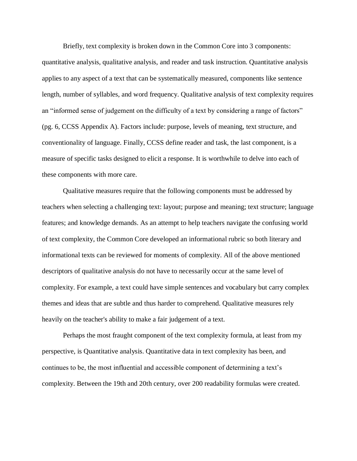Briefly, text complexity is broken down in the Common Core into 3 components: quantitative analysis, qualitative analysis, and reader and task instruction. Quantitative analysis applies to any aspect of a text that can be systematically measured, components like sentence length, number of syllables, and word frequency. Qualitative analysis of text complexity requires an "informed sense of judgement on the difficulty of a text by considering a range of factors" (pg. 6, CCSS Appendix A). Factors include: purpose, levels of meaning, text structure, and conventionality of language. Finally, CCSS define reader and task, the last component, is a measure of specific tasks designed to elicit a response. It is worthwhile to delve into each of these components with more care.

Qualitative measures require that the following components must be addressed by teachers when selecting a challenging text: layout; purpose and meaning; text structure; language features; and knowledge demands. As an attempt to help teachers navigate the confusing world of text complexity, the Common Core developed an informational rubric so both literary and informational texts can be reviewed for moments of complexity. All of the above mentioned descriptors of qualitative analysis do not have to necessarily occur at the same level of complexity. For example, a text could have simple sentences and vocabulary but carry complex themes and ideas that are subtle and thus harder to comprehend. Qualitative measures rely heavily on the teacher's ability to make a fair judgement of a text.

Perhaps the most fraught component of the text complexity formula, at least from my perspective, is Quantitative analysis. Quantitative data in text complexity has been, and continues to be, the most influential and accessible component of determining a text's complexity. Between the 19th and 20th century, over 200 readability formulas were created.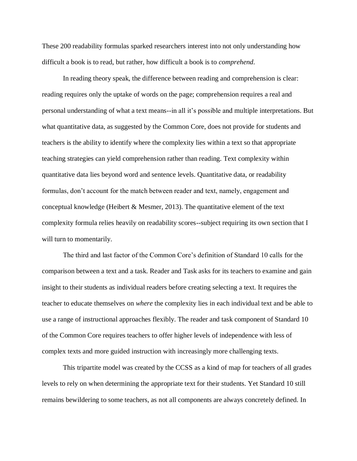These 200 readability formulas sparked researchers interest into not only understanding how difficult a book is to read, but rather, how difficult a book is to *comprehend*.

In reading theory speak, the difference between reading and comprehension is clear: reading requires only the uptake of words on the page; comprehension requires a real and personal understanding of what a text means--in all it's possible and multiple interpretations. But what quantitative data, as suggested by the Common Core, does not provide for students and teachers is the ability to identify where the complexity lies within a text so that appropriate teaching strategies can yield comprehension rather than reading. Text complexity within quantitative data lies beyond word and sentence levels. Quantitative data, or readability formulas, don't account for the match between reader and text, namely, engagement and conceptual knowledge (Heibert  $\&$  Mesmer, 2013). The quantitative element of the text complexity formula relies heavily on readability scores--subject requiring its own section that I will turn to momentarily.

The third and last factor of the Common Core's definition of Standard 10 calls for the comparison between a text and a task. Reader and Task asks for its teachers to examine and gain insight to their students as individual readers before creating selecting a text. It requires the teacher to educate themselves on *where* the complexity lies in each individual text and be able to use a range of instructional approaches flexibly. The reader and task component of Standard 10 of the Common Core requires teachers to offer higher levels of independence with less of complex texts and more guided instruction with increasingly more challenging texts.

This tripartite model was created by the CCSS as a kind of map for teachers of all grades levels to rely on when determining the appropriate text for their students. Yet Standard 10 still remains bewildering to some teachers, as not all components are always concretely defined. In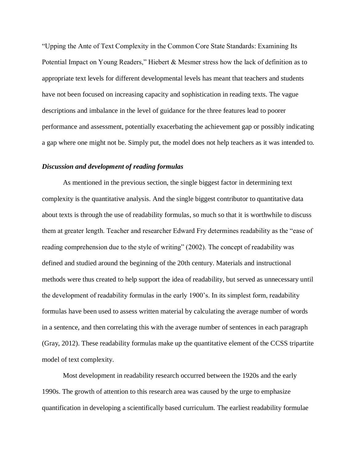"Upping the Ante of Text Complexity in the Common Core State Standards: Examining Its Potential Impact on Young Readers," Hiebert & Mesmer stress how the lack of definition as to appropriate text levels for different developmental levels has meant that teachers and students have not been focused on increasing capacity and sophistication in reading texts. The vague descriptions and imbalance in the level of guidance for the three features lead to poorer performance and assessment, potentially exacerbating the achievement gap or possibly indicating a gap where one might not be. Simply put, the model does not help teachers as it was intended to.

# *Discussion and development of reading formulas*

As mentioned in the previous section, the single biggest factor in determining text complexity is the quantitative analysis. And the single biggest contributor to quantitative data about texts is through the use of readability formulas, so much so that it is worthwhile to discuss them at greater length. Teacher and researcher Edward Fry determines readability as the "ease of reading comprehension due to the style of writing" (2002). The concept of readability was defined and studied around the beginning of the 20th century. Materials and instructional methods were thus created to help support the idea of readability, but served as unnecessary until the development of readability formulas in the early 1900's. In its simplest form, readability formulas have been used to assess written material by calculating the average number of words in a sentence, and then correlating this with the average number of sentences in each paragraph (Gray, 2012). These readability formulas make up the quantitative element of the CCSS tripartite model of text complexity.

Most development in readability research occurred between the 1920s and the early 1990s. The growth of attention to this research area was caused by the urge to emphasize quantification in developing a scientifically based curriculum. The earliest readability formulae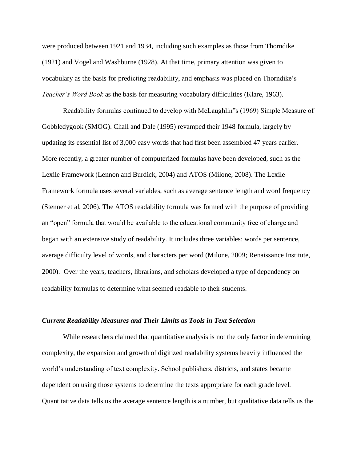were produced between 1921 and 1934, including such examples as those from Thorndike (1921) and Vogel and Washburne (1928). At that time, primary attention was given to vocabulary as the basis for predicting readability, and emphasis was placed on Thorndike's *Teacher's Word Book* as the basis for measuring vocabulary difficulties (Klare, 1963).

Readability formulas continued to develop with McLaughlin"s (1969) Simple Measure of Gobbledygook (SMOG). Chall and Dale (1995) revamped their 1948 formula, largely by updating its essential list of 3,000 easy words that had first been assembled 47 years earlier. More recently, a greater number of computerized formulas have been developed, such as the Lexile Framework (Lennon and Burdick, 2004) and ATOS (Milone, 2008). The Lexile Framework formula uses several variables, such as average sentence length and word frequency (Stenner et al, 2006). The ATOS readability formula was formed with the purpose of providing an "open" formula that would be available to the educational community free of charge and began with an extensive study of readability. It includes three variables: words per sentence, average difficulty level of words, and characters per word (Milone, 2009; Renaissance Institute, 2000). Over the years, teachers, librarians, and scholars developed a type of dependency on readability formulas to determine what seemed readable to their students.

# *Current Readability Measures and Their Limits as Tools in Text Selection*

While researchers claimed that quantitative analysis is not the only factor in determining complexity, the expansion and growth of digitized readability systems heavily influenced the world's understanding of text complexity. School publishers, districts, and states became dependent on using those systems to determine the texts appropriate for each grade level. Quantitative data tells us the average sentence length is a number, but qualitative data tells us the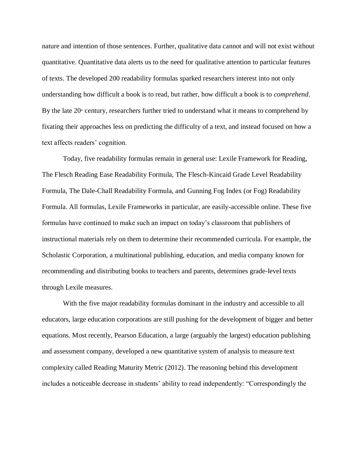nature and intention of those sentences. Further, qualitative data cannot and will not exist without quantitative. Quantitative data alerts us to the need for qualitative attention to particular features of texts. The developed 200 readability formulas sparked researchers interest into not only understanding how difficult a book is to read, but rather, how difficult a book is to *comprehend*. By the late  $20<sup>th</sup>$  century, researchers further tried to understand what it means to comprehend by fixating their approaches less on predicting the difficulty of a text, and instead focused on how a text affects readers' cognition.

Today, five readability formulas remain in general use: Lexile Framework for Reading, The Flesch Reading Ease Readability Formula, The Flesch-Kincaid Grade Level Readability Formula, The Dale-Chall Readability Formula, and Gunning Fog Index (or Fog) Readability Formula. All formulas, Lexile Frameworks in particular, are easily-accessible online. These five formulas have continued to make such an impact on today's classroom that publishers of instructional materials rely on them to determine their recommended curricula. For example, the Scholastic Corporation, a multinational publishing, education, and media company known for recommending and distributing books to teachers and parents, determines grade-level texts through Lexile measures.

With the five major readability formulas dominant in the industry and accessible to all educators, large education corporations are still pushing for the development of bigger and better equations. Most recently, Pearson Education, a large (arguably the largest) education publishing and assessment company, developed a new quantitative system of analysis to measure text complexity called Reading Maturity Metric (2012). The reasoning behind this development includes a noticeable decrease in students' ability to read independently: "Correspondingly the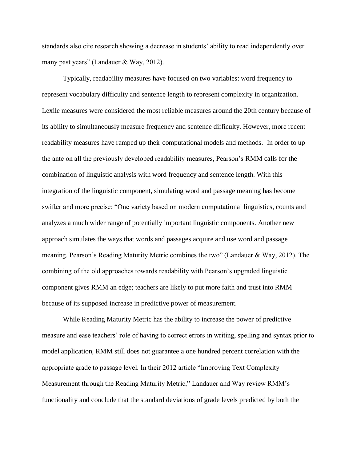standards also cite research showing a decrease in students' ability to read independently over many past years" (Landauer & Way, 2012).

Typically, readability measures have focused on two variables: word frequency to represent vocabulary difficulty and sentence length to represent complexity in organization. Lexile measures were considered the most reliable measures around the 20th century because of its ability to simultaneously measure frequency and sentence difficulty. However, more recent readability measures have ramped up their computational models and methods. In order to up the ante on all the previously developed readability measures, Pearson's RMM calls for the combination of linguistic analysis with word frequency and sentence length. With this integration of the linguistic component, simulating word and passage meaning has become swifter and more precise: "One variety based on modern computational linguistics, counts and analyzes a much wider range of potentially important linguistic components. Another new approach simulates the ways that words and passages acquire and use word and passage meaning. Pearson's Reading Maturity Metric combines the two" (Landauer & Way, 2012). The combining of the old approaches towards readability with Pearson's upgraded linguistic component gives RMM an edge; teachers are likely to put more faith and trust into RMM because of its supposed increase in predictive power of measurement.

While Reading Maturity Metric has the ability to increase the power of predictive measure and ease teachers' role of having to correct errors in writing, spelling and syntax prior to model application, RMM still does not guarantee a one hundred percent correlation with the appropriate grade to passage level. In their 2012 article "Improving Text Complexity Measurement through the Reading Maturity Metric," Landauer and Way review RMM's functionality and conclude that the standard deviations of grade levels predicted by both the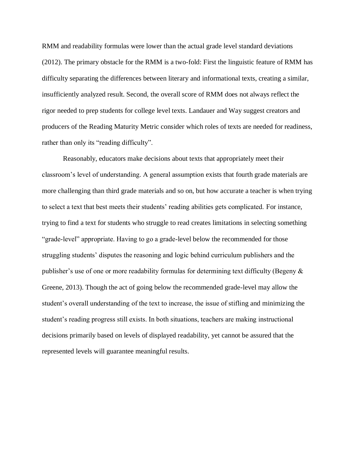RMM and readability formulas were lower than the actual grade level standard deviations (2012). The primary obstacle for the RMM is a two-fold: First the linguistic feature of RMM has difficulty separating the differences between literary and informational texts, creating a similar, insufficiently analyzed result. Second, the overall score of RMM does not always reflect the rigor needed to prep students for college level texts. Landauer and Way suggest creators and producers of the Reading Maturity Metric consider which roles of texts are needed for readiness, rather than only its "reading difficulty".

Reasonably, educators make decisions about texts that appropriately meet their classroom's level of understanding. A general assumption exists that fourth grade materials are more challenging than third grade materials and so on, but how accurate a teacher is when trying to select a text that best meets their students' reading abilities gets complicated. For instance, trying to find a text for students who struggle to read creates limitations in selecting something "grade-level" appropriate. Having to go a grade-level below the recommended for those struggling students' disputes the reasoning and logic behind curriculum publishers and the publisher's use of one or more readability formulas for determining text difficulty (Begeny & Greene, 2013). Though the act of going below the recommended grade-level may allow the student's overall understanding of the text to increase, the issue of stifling and minimizing the student's reading progress still exists. In both situations, teachers are making instructional decisions primarily based on levels of displayed readability, yet cannot be assured that the represented levels will guarantee meaningful results.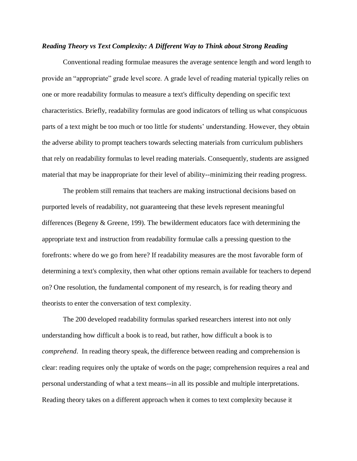# *Reading Theory vs Text Complexity: A Different Way to Think about Strong Reading*

Conventional reading formulae measures the average sentence length and word length to provide an "appropriate" grade level score. A grade level of reading material typically relies on one or more readability formulas to measure a text's difficulty depending on specific text characteristics. Briefly, readability formulas are good indicators of telling us what conspicuous parts of a text might be too much or too little for students' understanding. However, they obtain the adverse ability to prompt teachers towards selecting materials from curriculum publishers that rely on readability formulas to level reading materials. Consequently, students are assigned material that may be inappropriate for their level of ability--minimizing their reading progress.

The problem still remains that teachers are making instructional decisions based on purported levels of readability, not guaranteeing that these levels represent meaningful differences (Begeny & Greene, 199). The bewilderment educators face with determining the appropriate text and instruction from readability formulae calls a pressing question to the forefronts: where do we go from here? If readability measures are the most favorable form of determining a text's complexity, then what other options remain available for teachers to depend on? One resolution, the fundamental component of my research, is for reading theory and theorists to enter the conversation of text complexity.

The 200 developed readability formulas sparked researchers interest into not only understanding how difficult a book is to read, but rather, how difficult a book is to *comprehend*. In reading theory speak, the difference between reading and comprehension is clear: reading requires only the uptake of words on the page; comprehension requires a real and personal understanding of what a text means--in all its possible and multiple interpretations. Reading theory takes on a different approach when it comes to text complexity because it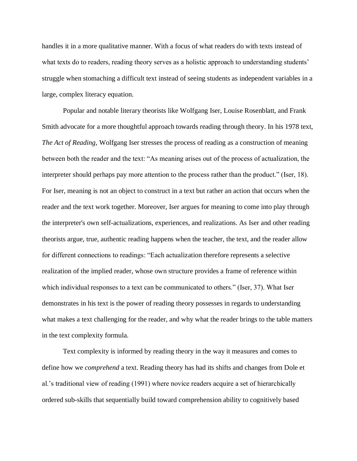handles it in a more qualitative manner. With a focus of what readers do with texts instead of what texts do to readers, reading theory serves as a holistic approach to understanding students' struggle when stomaching a difficult text instead of seeing students as independent variables in a large, complex literacy equation.

Popular and notable literary theorists like Wolfgang Iser, Louise Rosenblatt, and Frank Smith advocate for a more thoughtful approach towards reading through theory. In his 1978 text, *The Act of Reading,* Wolfgang Iser stresses the process of reading as a construction of meaning between both the reader and the text: "As meaning arises out of the process of actualization, the interpreter should perhaps pay more attention to the process rather than the product." (Iser, 18). For Iser, meaning is not an object to construct in a text but rather an action that occurs when the reader and the text work together. Moreover, Iser argues for meaning to come into play through the interpreter's own self-actualizations, experiences, and realizations. As Iser and other reading theorists argue, true, authentic reading happens when the teacher, the text, and the reader allow for different connections to readings: "Each actualization therefore represents a selective realization of the implied reader, whose own structure provides a frame of reference within which individual responses to a text can be communicated to others." (Iser, 37). What Iser demonstrates in his text is the power of reading theory possesses in regards to understanding what makes a text challenging for the reader, and why what the reader brings to the table matters in the text complexity formula.

Text complexity is informed by reading theory in the way it measures and comes to define how we *comprehend* a text. Reading theory has had its shifts and changes from Dole et al.'s traditional view of reading (1991) where novice readers acquire a set of hierarchically ordered sub-skills that sequentially build toward comprehension ability to cognitively based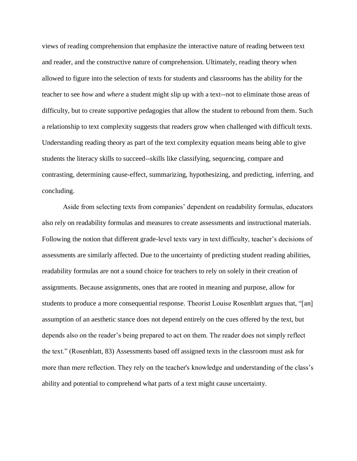views of reading comprehension that emphasize the interactive nature of reading between text and reader, and the constructive nature of comprehension. Ultimately, reading theory when allowed to figure into the selection of texts for students and classrooms has the ability for the teacher to see *how* and *where* a student might slip up with a text--not to eliminate those areas of difficulty, but to create supportive pedagogies that allow the student to rebound from them. Such a relationship to text complexity suggests that readers grow when challenged with difficult texts. Understanding reading theory as part of the text complexity equation means being able to give students the literacy skills to succeed--skills like classifying, sequencing, compare and contrasting, determining cause-effect, summarizing, hypothesizing, and predicting, inferring, and concluding.

Aside from selecting texts from companies' dependent on readability formulas, educators also rely on readability formulas and measures to create assessments and instructional materials. Following the notion that different grade-level texts vary in text difficulty, teacher's decisions of assessments are similarly affected. Due to the uncertainty of predicting student reading abilities, readability formulas are not a sound choice for teachers to rely on solely in their creation of assignments. Because assignments, ones that are rooted in meaning and purpose, allow for students to produce a more consequential response. Theorist Louise Rosenblatt argues that, "[an] assumption of an aesthetic stance does not depend entirely on the cues offered by the text, but depends also on the reader's being prepared to act on them. The reader does not simply reflect the text." (Rosenblatt, 83) Assessments based off assigned texts in the classroom must ask for more than mere reflection. They rely on the teacher's knowledge and understanding of the class's ability and potential to comprehend what parts of a text might cause uncertainty.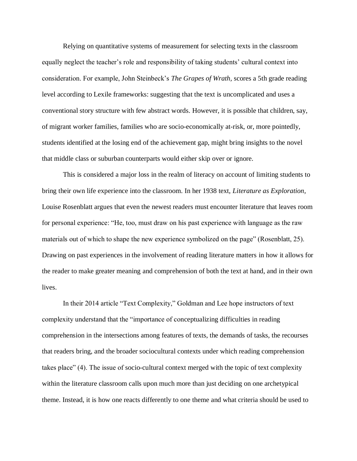Relying on quantitative systems of measurement for selecting texts in the classroom equally neglect the teacher's role and responsibility of taking students' cultural context into consideration. For example, John Steinbeck's *The Grapes of Wrath,* scores a 5th grade reading level according to Lexile frameworks: suggesting that the text is uncomplicated and uses a conventional story structure with few abstract words. However, it is possible that children, say, of migrant worker families, families who are socio-economically at-risk, or, more pointedly, students identified at the losing end of the achievement gap, might bring insights to the novel that middle class or suburban counterparts would either skip over or ignore.

This is considered a major loss in the realm of literacy on account of limiting students to bring their own life experience into the classroom. In her 1938 text, *Literature as Exploration*, Louise Rosenblatt argues that even the newest readers must encounter literature that leaves room for personal experience: "He, too, must draw on his past experience with language as the raw materials out of which to shape the new experience symbolized on the page" (Rosenblatt, 25). Drawing on past experiences in the involvement of reading literature matters in how it allows for the reader to make greater meaning and comprehension of both the text at hand, and in their own lives.

In their 2014 article "Text Complexity," Goldman and Lee hope instructors of text complexity understand that the "importance of conceptualizing difficulties in reading comprehension in the intersections among features of texts, the demands of tasks, the recourses that readers bring, and the broader sociocultural contexts under which reading comprehension takes place" (4). The issue of socio-cultural context merged with the topic of text complexity within the literature classroom calls upon much more than just deciding on one archetypical theme. Instead, it is how one reacts differently to one theme and what criteria should be used to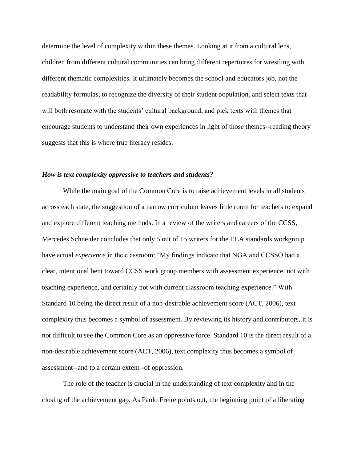determine the level of complexity within these themes. Looking at it from a cultural lens, children from different cultural communities can bring different repertoires for wrestling with different thematic complexities. It ultimately becomes the school and educators job, not the readability formulas, to recognize the diversity of their student population, and select texts that will both resonate with the students' cultural background, and pick texts with themes that encourage students to understand their own experiences in light of those themes--reading theory suggests that this is where true literacy resides.

## *How is text complexity oppressive to teachers and students?*

While the main goal of the Common Core is to raise achievement levels in all students across each state, the suggestion of a narrow curriculum leaves little room for teachers to expand and explore different teaching methods. In a review of the writers and careers of the CCSS, Mercedes Schneider concludes that only 5 out of 15 writers for the ELA standards workgroup have actual *experience* in the classroom: "My findings indicate that NGA and CCSSO had a clear, intentional bent toward CCSS work group members with assessment experience, not with teaching experience, and certainly not with current classroom teaching experience." With Standard 10 being the direct result of a non-desirable achievement score (ACT, 2006), text complexity thus becomes a symbol of assessment. By reviewing its history and contributors, it is not difficult to see the Common Core as an oppressive force. Standard 10 is the direct result of a non-desirable achievement score (ACT, 2006), text complexity thus becomes a symbol of assessment--and to a certain extent--of oppression.

The role of the teacher is crucial in the understanding of text complexity and in the closing of the achievement gap. As Paolo Freire points out, the beginning point of a liberating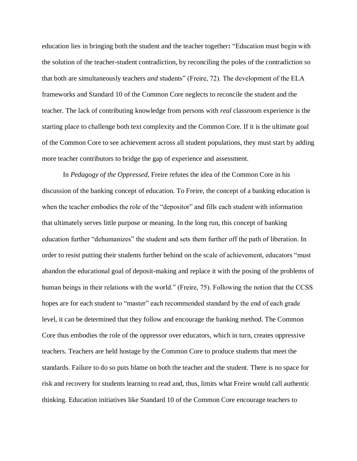education lies in bringing both the student and the teacher together**:** "Education must begin with the solution of the teacher-student contradiction, by reconciling the poles of the contradiction so that both are simultaneously teachers *and* students" (Freire, 72). The development of the ELA frameworks and Standard 10 of the Common Core neglects to reconcile the student and the teacher. The lack of contributing knowledge from persons with *real* classroom experience is the starting place to challenge both text complexity and the Common Core. If it is the ultimate goal of the Common Core to see achievement across all student populations, they must start by adding more teacher contributors to bridge the gap of experience and assessment.

In *Pedagogy of the Oppressed,* Freire refutes the idea of the Common Core in his discussion of the banking concept of education. To Freire, the concept of a banking education is when the teacher embodies the role of the "depositor" and fills each student with information that ultimately serves little purpose or meaning. In the long run, this concept of banking education further "dehumanizes" the student and sets them further off the path of liberation. In order to resist putting their students further behind on the scale of achievement, educators "must abandon the educational goal of deposit-making and replace it with the posing of the problems of human beings in their relations with the world." (Freire, 75). Following the notion that the CCSS hopes are for each student to "master" each recommended standard by the end of each grade level, it can be determined that they follow and encourage the banking method. The Common Core thus embodies the role of the oppressor over educators, which in turn, creates oppressive teachers. Teachers are held hostage by the Common Core to produce students that meet the standards. Failure to do so puts blame on both the teacher and the student. There is no space for risk and recovery for students learning to read and, thus, limits what Freire would call authentic thinking. Education initiatives like Standard 10 of the Common Core encourage teachers to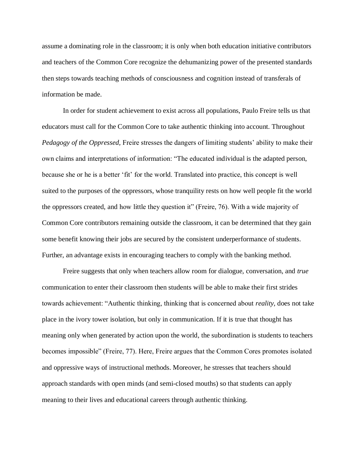assume a dominating role in the classroom; it is only when both education initiative contributors and teachers of the Common Core recognize the dehumanizing power of the presented standards then steps towards teaching methods of consciousness and cognition instead of transferals of information be made.

In order for student achievement to exist across all populations, Paulo Freire tells us that educators must call for the Common Core to take authentic thinking into account. Throughout *Pedagogy of the Oppressed,* Freire stresses the dangers of limiting students' ability to make their own claims and interpretations of information: "The educated individual is the adapted person, because she or he is a better 'fit' for the world. Translated into practice, this concept is well suited to the purposes of the oppressors, whose tranquility rests on how well people fit the world the oppressors created, and how little they question it" (Freire, 76). With a wide majority of Common Core contributors remaining outside the classroom, it can be determined that they gain some benefit knowing their jobs are secured by the consistent underperformance of students. Further, an advantage exists in encouraging teachers to comply with the banking method.

Freire suggests that only when teachers allow room for dialogue, conversation, and *true*  communication to enter their classroom then students will be able to make their first strides towards achievement: "Authentic thinking, thinking that is concerned about *reality,* does not take place in the ivory tower isolation, but only in communication. If it is true that thought has meaning only when generated by action upon the world, the subordination is students to teachers becomes impossible" (Freire, 77). Here, Freire argues that the Common Cores promotes isolated and oppressive ways of instructional methods. Moreover, he stresses that teachers should approach standards with open minds (and semi-closed mouths) so that students can apply meaning to their lives and educational careers through authentic thinking.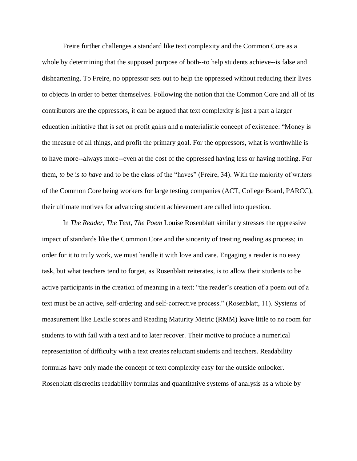Freire further challenges a standard like text complexity and the Common Core as a whole by determining that the supposed purpose of both--to help students achieve--is false and disheartening. To Freire, no oppressor sets out to help the oppressed without reducing their lives to objects in order to better themselves. Following the notion that the Common Core and all of its contributors are the oppressors, it can be argued that text complexity is just a part a larger education initiative that is set on profit gains and a materialistic concept of existence: "Money is the measure of all things, and profit the primary goal. For the oppressors, what is worthwhile is to have more--always more--even at the cost of the oppressed having less or having nothing. For them, *to be* is *to have* and to be the class of the "haves" (Freire, 34). With the majority of writers of the Common Core being workers for large testing companies (ACT, College Board, PARCC), their ultimate motives for advancing student achievement are called into question.

In *The Reader, The Text, The Poem* Louise Rosenblatt similarly stresses the oppressive impact of standards like the Common Core and the sincerity of treating reading as process; in order for it to truly work, we must handle it with love and care. Engaging a reader is no easy task, but what teachers tend to forget, as Rosenblatt reiterates, is to allow their students to be active participants in the creation of meaning in a text: "the reader's creation of a poem out of a text must be an active, self-ordering and self-corrective process." (Rosenblatt, 11). Systems of measurement like Lexile scores and Reading Maturity Metric (RMM) leave little to no room for students to with fail with a text and to later recover. Their motive to produce a numerical representation of difficulty with a text creates reluctant students and teachers. Readability formulas have only made the concept of text complexity easy for the outside onlooker. Rosenblatt discredits readability formulas and quantitative systems of analysis as a whole by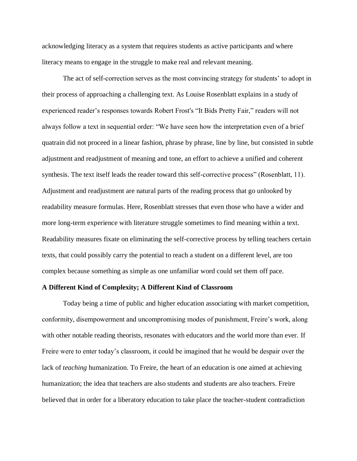acknowledging literacy as a system that requires students as active participants and where literacy means to engage in the struggle to make real and relevant meaning.

The act of self-correction serves as the most convincing strategy for students' to adopt in their process of approaching a challenging text. As Louise Rosenblatt explains in a study of experienced reader's responses towards Robert Frost's "It Bids Pretty Fair," readers will not always follow a text in sequential order: "We have seen how the interpretation even of a brief quatrain did not proceed in a linear fashion, phrase by phrase, line by line, but consisted in subtle adjustment and readjustment of meaning and tone, an effort to achieve a unified and coherent synthesis. The text itself leads the reader toward this self-corrective process" (Rosenblatt, 11). Adjustment and readjustment are natural parts of the reading process that go unlooked by readability measure formulas. Here, Rosenblatt stresses that even those who have a wider and more long-term experience with literature struggle sometimes to find meaning within a text. Readability measures fixate on eliminating the self-corrective process by telling teachers certain texts, that could possibly carry the potential to reach a student on a different level, are too complex because something as simple as one unfamiliar word could set them off pace.

#### **A Different Kind of Complexity; A Different Kind of Classroom**

Today being a time of public and higher education associating with market competition, conformity, disempowerment and uncompromising modes of punishment, Freire's work, along with other notable reading theorists, resonates with educators and the world more than ever. If Freire were to enter today's classroom, it could be imagined that he would be despair over the lack of *teaching* humanization. To Freire, the heart of an education is one aimed at achieving humanization; the idea that teachers are also students and students are also teachers. Freire believed that in order for a liberatory education to take place the teacher-student contradiction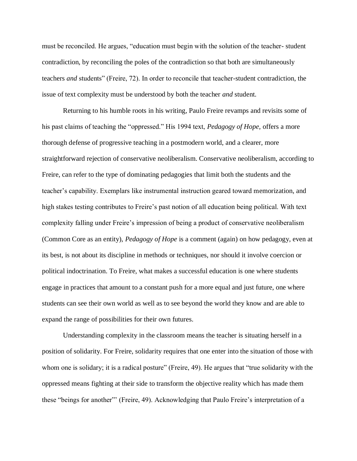must be reconciled. He argues, "education must begin with the solution of the teacher- student contradiction, by reconciling the poles of the contradiction so that both are simultaneously teachers *and* students" (Freire, 72). In order to reconcile that teacher-student contradiction, the issue of text complexity must be understood by both the teacher *and* student.

Returning to his humble roots in his writing*,* Paulo Freire revamps and revisits some of his past claims of teaching the "oppressed." His 1994 text, *Pedagogy of Hope,* offers a more thorough defense of progressive teaching in a postmodern world, and a clearer, more straightforward rejection of conservative neoliberalism. Conservative neoliberalism, according to Freire, can refer to the type of dominating pedagogies that limit both the students and the teacher's capability. Exemplars like instrumental instruction geared toward memorization, and high stakes testing contributes to Freire's past notion of all education being political. With text complexity falling under Freire's impression of being a product of conservative neoliberalism (Common Core as an entity), *Pedagogy of Hope* is a comment (again) on how pedagogy, even at its best, is not about its discipline in methods or techniques, nor should it involve coercion or political indoctrination. To Freire, what makes a successful education is one where students engage in practices that amount to a constant push for a more equal and just future, one where students can see their own world as well as to see beyond the world they know and are able to expand the range of possibilities for their own futures.

Understanding complexity in the classroom means the teacher is situating herself in a position of solidarity. For Freire, solidarity requires that one enter into the situation of those with whom one is solidary; it is a radical posture" (Freire, 49). He argues that "true solidarity with the oppressed means fighting at their side to transform the objective reality which has made them these "beings for another"' (Freire, 49). Acknowledging that Paulo Freire's interpretation of a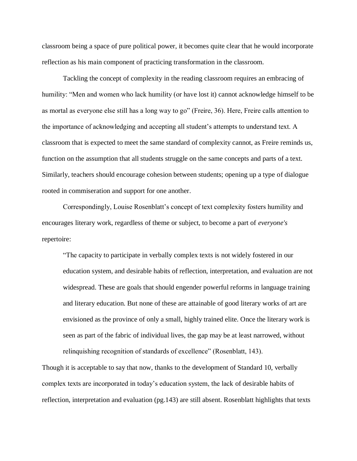classroom being a space of pure political power, it becomes quite clear that he would incorporate reflection as his main component of practicing transformation in the classroom.

Tackling the concept of complexity in the reading classroom requires an embracing of humility: "Men and women who lack humility (or have lost it) cannot acknowledge himself to be as mortal as everyone else still has a long way to go" (Freire, 36). Here, Freire calls attention to the importance of acknowledging and accepting all student's attempts to understand text. A classroom that is expected to meet the same standard of complexity cannot, as Freire reminds us, function on the assumption that all students struggle on the same concepts and parts of a text. Similarly, teachers should encourage cohesion between students; opening up a type of dialogue rooted in commiseration and support for one another.

Correspondingly, Louise Rosenblatt's concept of text complexity fosters humility and encourages literary work, regardless of theme or subject, to become a part of *everyone's*  repertoire:

"The capacity to participate in verbally complex texts is not widely fostered in our education system, and desirable habits of reflection, interpretation, and evaluation are not widespread. These are goals that should engender powerful reforms in language training and literary education. But none of these are attainable of good literary works of art are envisioned as the province of only a small, highly trained elite. Once the literary work is seen as part of the fabric of individual lives, the gap may be at least narrowed, without relinquishing recognition of standards of excellence" (Rosenblatt, 143).

Though it is acceptable to say that now, thanks to the development of Standard 10, verbally complex texts are incorporated in today's education system, the lack of desirable habits of reflection, interpretation and evaluation (pg.143) are still absent. Rosenblatt highlights that texts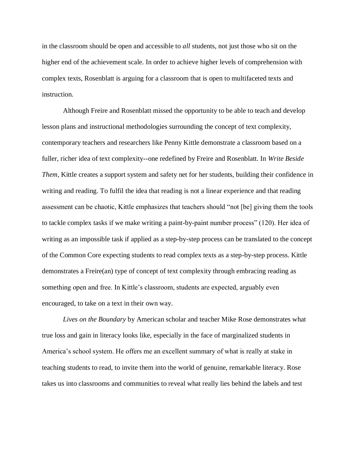in the classroom should be open and accessible to *all* students, not just those who sit on the higher end of the achievement scale. In order to achieve higher levels of comprehension with complex texts, Rosenblatt is arguing for a classroom that is open to multifaceted texts and instruction.

Although Freire and Rosenblatt missed the opportunity to be able to teach and develop lesson plans and instructional methodologies surrounding the concept of text complexity, contemporary teachers and researchers like Penny Kittle demonstrate a classroom based on a fuller, richer idea of text complexity--one redefined by Freire and Rosenblatt. In *Write Beside Them,* Kittle creates a support system and safety net for her students, building their confidence in writing and reading. To fulfil the idea that reading is not a linear experience and that reading assessment can be chaotic, Kittle emphasizes that teachers should "not [be] giving them the tools to tackle complex tasks if we make writing a paint-by-paint number process" (120). Her idea of writing as an impossible task if applied as a step-by-step process can be translated to the concept of the Common Core expecting students to read complex texts as a step-by-step process. Kittle demonstrates a Freire(an) type of concept of text complexity through embracing reading as something open and free. In Kittle's classroom, students are expected, arguably even encouraged, to take on a text in their own way.

*Lives on the Boundary* by American scholar and teacher Mike Rose demonstrates what true loss and gain in literacy looks like, especially in the face of marginalized students in America's school system. He offers me an excellent summary of what is really at stake in teaching students to read, to invite them into the world of genuine, remarkable literacy. Rose takes us into classrooms and communities to reveal what really lies behind the labels and test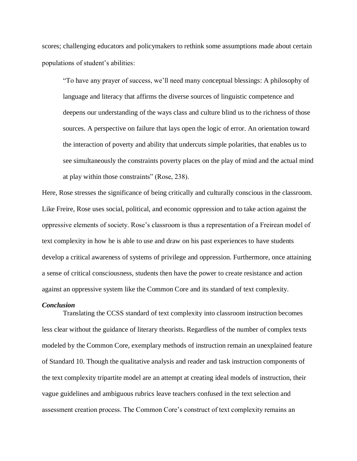scores; challenging educators and policymakers to rethink some assumptions made about certain populations of student's abilities:

"To have any prayer of success, we'll need many conceptual blessings: A philosophy of language and literacy that affirms the diverse sources of linguistic competence and deepens our understanding of the ways class and culture blind us to the richness of those sources. A perspective on failure that lays open the logic of error. An orientation toward the interaction of poverty and ability that undercuts simple polarities, that enables us to see simultaneously the constraints poverty places on the play of mind and the actual mind at play within those constraints" (Rose, 238).

Here, Rose stresses the significance of being critically and culturally conscious in the classroom. Like Freire, Rose uses social, political, and economic oppression and to take action against the oppressive elements of society. Rose's classroom is thus a representation of a Freirean model of text complexity in how he is able to use and draw on his past experiences to have students develop a critical awareness of systems of privilege and oppression. Furthermore, once attaining a sense of critical consciousness, students then have the power to create resistance and action against an oppressive system like the Common Core and its standard of text complexity.

#### *Conclusion*

Translating the CCSS standard of text complexity into classroom instruction becomes less clear without the guidance of literary theorists. Regardless of the number of complex texts modeled by the Common Core, exemplary methods of instruction remain an unexplained feature of Standard 10. Though the qualitative analysis and reader and task instruction components of the text complexity tripartite model are an attempt at creating ideal models of instruction, their vague guidelines and ambiguous rubrics leave teachers confused in the text selection and assessment creation process. The Common Core's construct of text complexity remains an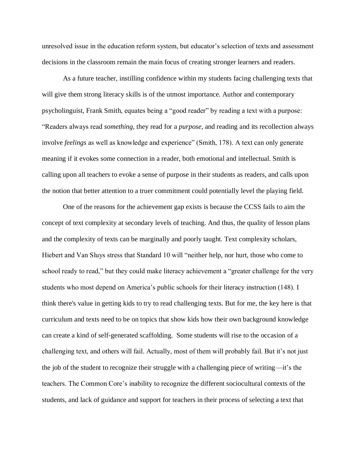unresolved issue in the education reform system, but educator's selection of texts and assessment decisions in the classroom remain the main focus of creating stronger learners and readers.

As a future teacher, instilling confidence within my students facing challenging texts that will give them strong literacy skills is of the utmost importance. Author and contemporary psycholinguist, Frank Smith, equates being a "good reader" by reading a text with a purpose: "Readers always read *something,* they read for a *purpose,* and reading and its recollection always involve *feelings* as well as knowledge and experience" (Smith, 178). A text can only generate meaning if it evokes some connection in a reader, both emotional and intellectual. Smith is calling upon all teachers to evoke a sense of purpose in their students as readers, and calls upon the notion that better attention to a truer commitment could potentially level the playing field.

One of the reasons for the achievement gap exists is because the CCSS fails to aim the concept of text complexity at secondary levels of teaching. And thus, the quality of lesson plans and the complexity of texts can be marginally and poorly taught. Text complexity scholars, Hiebert and Van Sluys stress that Standard 10 will "neither help, nor hurt, those who come to school ready to read," but they could make literacy achievement a "greater challenge for the very students who most depend on America's public schools for their literacy instruction (148). I think there's value in getting kids to try to read challenging texts. But for me, the key here is that curriculum and texts need to be on topics that show kids how their own background knowledge can create a kind of self-generated scaffolding. Some students will rise to the occasion of a challenging text, and others will fail. Actually, most of them will probably fail. But it's not just the job of the student to recognize their struggle with a challenging piece of writing—it's the teachers. The Common Core's inability to recognize the different sociocultural contexts of the students, and lack of guidance and support for teachers in their process of selecting a text that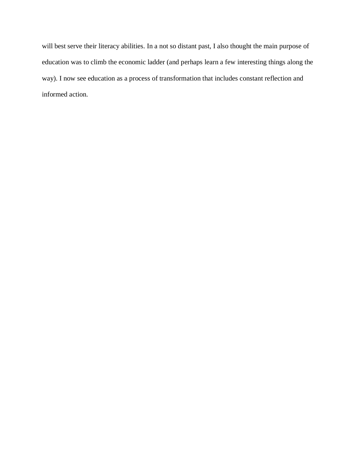will best serve their literacy abilities. In a not so distant past, I also thought the main purpose of education was to climb the economic ladder (and perhaps learn a few interesting things along the way). I now see education as a process of transformation that includes constant reflection and informed action.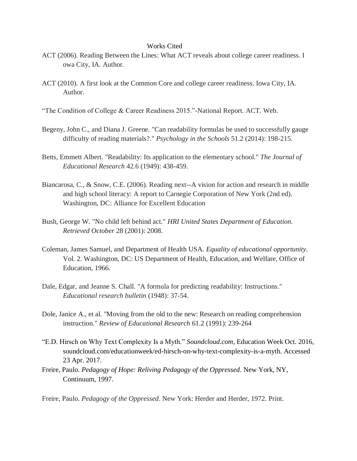## Works Cited

- ACT (2006). Reading Between the Lines: What ACT reveals about college career readiness. I owa City, IA. Author.
- ACT (2010). A first look at the Common Core and college career readiness. Iowa City, IA. Author.
- "The Condition of College & Career Readiness 2015."-National Report. ACT. Web.
- Begeny, John C., and Diana J. Greene. "Can readability formulas be used to successfully gauge difficulty of reading materials?." *Psychology in the Schools* 51.2 (2014): 198-215.
- Betts, Emmett Albert. "Readability: Its application to the elementary school." *The Journal of Educational Research* 42.6 (1949): 438-459.
- Biancarosa, C., & Snow, C.E. (2006). Reading next--A vision for action and research in middle and high school literacy: A report to Carnegie Corporation of New York (2nd ed). Washington, DC: Alliance for Excellent Education
- Bush, George W. "No child left behind act." *HRI United States Department of Education. Retrieved October* 28 (2001): 2008.
- Coleman, James Samuel, and Department of Health USA. *Equality of educational opportunity*. Vol. 2. Washington, DC: US Department of Health, Education, and Welfare, Office of Education, 1966.
- Dale, Edgar, and Jeanne S. Chall. "A formula for predicting readability: Instructions." *Educational research bulletin* (1948): 37-54.
- Dole, Janice A., et al. "Moving from the old to the new: Research on reading comprehension instruction." *Review of Educational Research* 61.2 (1991): 239-264
- "E.D. Hirsch on Why Text Complexity Is a Myth." *Soundcloud.com*, Education Week Oct. 2016, soundcloud.com/educationweek/ed-hirsch-on-why-text-complexity-is-a-myth. Accessed 23 Apr. 2017.
- Freire, Paulo. *Pedagogy of Hope: Reliving Pedagogy of the Oppressed*. New York, NY, Continuum, 1997.

Freire, Paulo. *Pedagogy of the Oppressed*. New York: Herder and Herder, 1972. Print.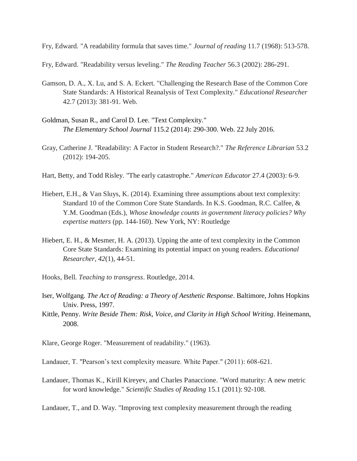Fry, Edward. "A readability formula that saves time." *Journal of reading* 11.7 (1968): 513-578.

Fry, Edward. "Readability versus leveling." *The Reading Teacher* 56.3 (2002): 286-291.

- Gamson, D. A., X. Lu, and S. A. Eckert. "Challenging the Research Base of the Common Core State Standards: A Historical Reanalysis of Text Complexity." *Educational Researcher* 42.7 (2013): 381-91. Web.
- Goldman, Susan R., and Carol D. Lee. "Text Complexity." *The Elementary School Journal* 115.2 (2014): 290-300. Web. 22 July 2016.
- Gray, Catherine J. "Readability: A Factor in Student Research?." *The Reference Librarian* 53.2 (2012): 194-205.
- Hart, Betty, and Todd Risley. "The early catastrophe." *American Educator* 27.4 (2003): 6-9.
- Hiebert, E.H., & Van Sluys, K. (2014). Examining three assumptions about text complexity: Standard 10 of the Common Core State Standards. In K.S. Goodman, R.C. Calfee, & Y.M. Goodman (Eds.), *Whose knowledge counts in government literacy policies? Why expertise matters* (pp. 144-160). New York, NY: Routledge
- Hiebert, E. H., & Mesmer, H. A. (2013). Upping the ante of text complexity in the Common Core State Standards: Examining its potential impact on young readers. *Educational Researcher, 42*(1), 44-51.
- Hooks, Bell. *Teaching to transgress*. Routledge, 2014.
- Iser, Wolfgang. *The Act of Reading: a Theory of Aesthetic Response*. Baltimore, Johns Hopkins Univ. Press, 1997.
- Kittle, Penny. *Write Beside Them: Risk, Voice, and Clarity in High School Writing*. Heinemann, 2008.
- Klare, George Roger. "Measurement of readability." (1963).

Landauer, T. "Pearson's text complexity measure. White Paper." (2011): 608-621.

Landauer, Thomas K., Kirill Kireyev, and Charles Panaccione. "Word maturity: A new metric for word knowledge." *Scientific Studies of Reading* 15.1 (2011): 92-108.

Landauer, T., and D. Way. "Improving text complexity measurement through the reading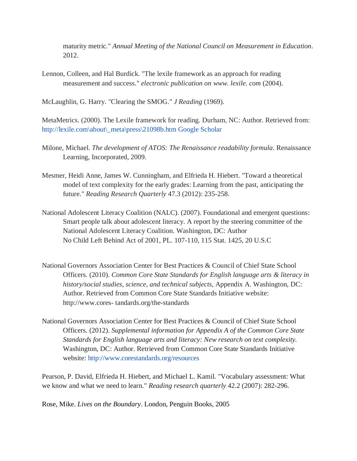maturity metric." *Annual Meeting of the National Council on Measurement in Education*. 2012.

Lennon, Colleen, and Hal Burdick. "The lexile framework as an approach for reading measurement and success." *electronic publication on www. lexile. com* (2004).

McLaughlin, G. Harry. "Clearing the SMOG." *J Reading* (1969).

MetaMetrics. (2000). The Lexile framework for reading. Durham, NC: Author. Retrieved from: [http://lexile.com\about\\\_meta\press\21098b.htm](http://lexile.com/about/_meta/press/21098b.htm) [Google Scholar](http://scholar.google.com/scholar_lookup?publication_year=2000&pages=235-258&issue=3&author=MetaMetrics&title=The+Lexile+framework+for+reading&)

- Milone, Michael. *The development of ATOS: The Renaissance readability formula*. Renaissance Learning, Incorporated, 2009.
- Mesmer, Heidi Anne, James W. Cunningham, and Elfrieda H. Hiebert. "Toward a theoretical model of text complexity for the early grades: Learning from the past, anticipating the future." *Reading Research Quarterly* 47.3 (2012): 235-258.
- National Adolescent Literacy Coalition (NALC). (2007). Foundational and emergent questions: Smart people talk about adolescent literacy. A report by the steering committee of the National Adolescent Literacy Coalition. Washington, DC: Author No Child Left Behind Act of 2001, PL. 107-110, 115 Stat. 1425, 20 U.S.C
- National Governors Association Center for Best Practices & Council of Chief State School Officers. (2010). *Common Core State Standards for English language arts & literacy in history/social studies, science, and technical subjects*, Appendix A. Washington, DC: Author. Retrieved from Common Core State Standards Initiative website: http://www.cores- tandards.org/the-standards
- National Governors Association Center for Best Practices & Council of Chief State School Officers. (2012). *Supplemental information for Appendix A of the Common Core State Standards for English language arts and literacy: New research on text complexity.* Washington, DC: Author. Retrieved from Common Core State Standards Initiative website: <http://www.corestandards.org/resources>

Pearson, P. David, Elfrieda H. Hiebert, and Michael L. Kamil. "Vocabulary assessment: What we know and what we need to learn." *Reading research quarterly* 42.2 (2007): 282-296.

Rose, Mike. *Lives on the Boundary*. London, Penguin Books, 2005